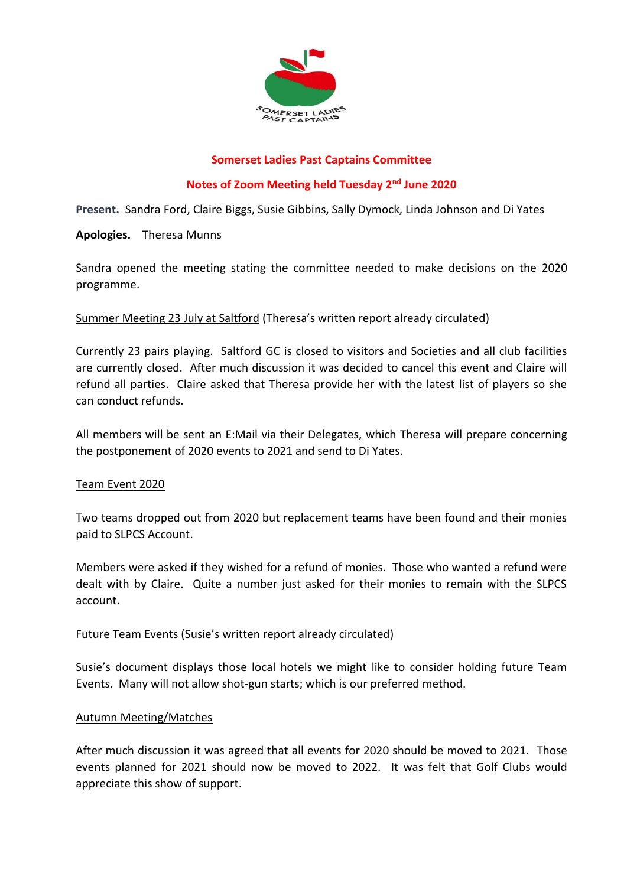

# **Somerset Ladies Past Captains Committee**

# **Notes of Zoom Meeting held Tuesday 2nd June 2020**

**Present.** Sandra Ford, Claire Biggs, Susie Gibbins, Sally Dymock, Linda Johnson and Di Yates

**Apologies.** Theresa Munns

Sandra opened the meeting stating the committee needed to make decisions on the 2020 programme.

# Summer Meeting 23 July at Saltford (Theresa's written report already circulated)

Currently 23 pairs playing. Saltford GC is closed to visitors and Societies and all club facilities are currently closed. After much discussion it was decided to cancel this event and Claire will refund all parties. Claire asked that Theresa provide her with the latest list of players so she can conduct refunds.

All members will be sent an E:Mail via their Delegates, which Theresa will prepare concerning the postponement of 2020 events to 2021 and send to Di Yates.

## Team Event 2020

Two teams dropped out from 2020 but replacement teams have been found and their monies paid to SLPCS Account.

Members were asked if they wished for a refund of monies. Those who wanted a refund were dealt with by Claire. Quite a number just asked for their monies to remain with the SLPCS account.

# Future Team Events (Susie's written report already circulated)

Susie's document displays those local hotels we might like to consider holding future Team Events. Many will not allow shot-gun starts; which is our preferred method.

## Autumn Meeting/Matches

After much discussion it was agreed that all events for 2020 should be moved to 2021. Those events planned for 2021 should now be moved to 2022. It was felt that Golf Clubs would appreciate this show of support.